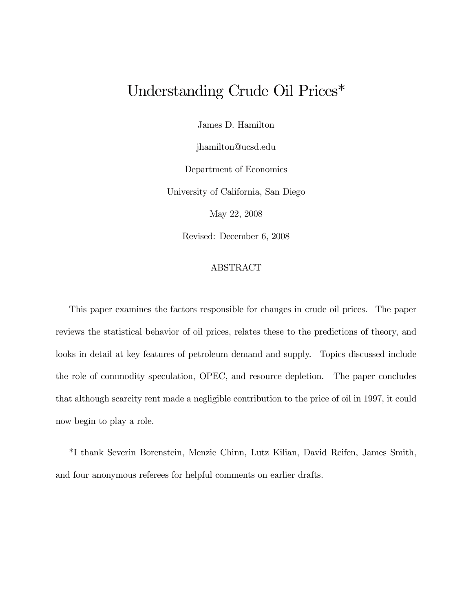# Understanding Crude Oil Prices\*

James D. Hamilton

jhamilton@ucsd.edu

Department of Economics

University of California, San Diego

May 22, 2008

Revised: December 6, 2008

#### ABSTRACT

This paper examines the factors responsible for changes in crude oil prices. The paper reviews the statistical behavior of oil prices, relates these to the predictions of theory, and looks in detail at key features of petroleum demand and supply. Topics discussed include the role of commodity speculation, OPEC, and resource depletion. The paper concludes that although scarcity rent made a negligible contribution to the price of oil in 1997, it could now begin to play a role.

\*I thank Severin Borenstein, Menzie Chinn, Lutz Kilian, David Reifen, James Smith, and four anonymous referees for helpful comments on earlier drafts.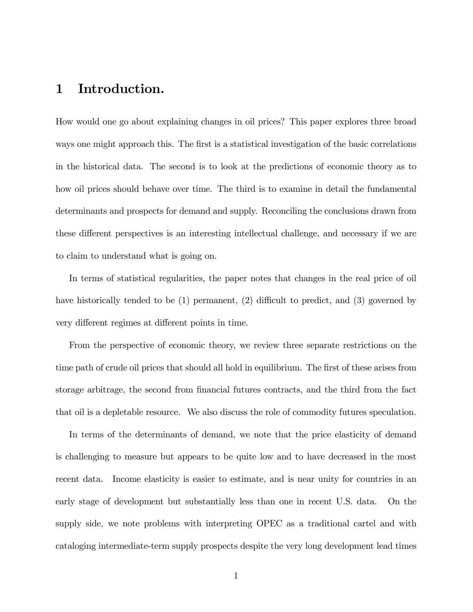## 1 Introduction.

How would one go about explaining changes in oil prices? This paper explores three broad ways one might approach this. The first is a statistical investigation of the basic correlations in the historical data. The second is to look at the predictions of economic theory as to how oil prices should behave over time. The third is to examine in detail the fundamental determinants and prospects for demand and supply. Reconciling the conclusions drawn from these different perspectives is an interesting intellectual challenge, and necessary if we are to claim to understand what is going on.

In terms of statistical regularities, the paper notes that changes in the real price of oil have historically tended to be (1) permanent, (2) difficult to predict, and (3) governed by very different regimes at different points in time.

From the perspective of economic theory, we review three separate restrictions on the time path of crude oil prices that should all hold in equilibrium. The first of these arises from storage arbitrage, the second from financial futures contracts, and the third from the fact that oil is a depletable resource. We also discuss the role of commodity futures speculation.

In terms of the determinants of demand, we note that the price elasticity of demand is challenging to measure but appears to be quite low and to have decreased in the most recent data. Income elasticity is easier to estimate, and is near unity for countries in an early stage of development but substantially less than one in recent U.S. data. On the supply side, we note problems with interpreting OPEC as a traditional cartel and with cataloging intermediate-term supply prospects despite the very long development lead times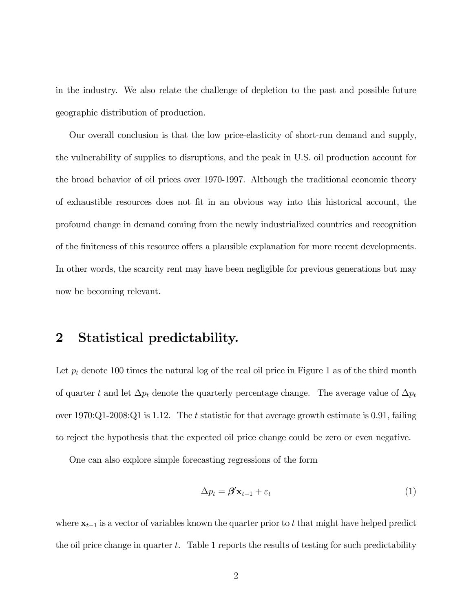in the industry. We also relate the challenge of depletion to the past and possible future geographic distribution of production.

Our overall conclusion is that the low price-elasticity of short-run demand and supply, the vulnerability of supplies to disruptions, and the peak in U.S. oil production account for the broad behavior of oil prices over 1970-1997. Although the traditional economic theory of exhaustible resources does not fit in an obvious way into this historical account, the profound change in demand coming from the newly industrialized countries and recognition of the finiteness of this resource offers a plausible explanation for more recent developments. In other words, the scarcity rent may have been negligible for previous generations but may now be becoming relevant.

## 2 Statistical predictability.

Let  $p_t$  denote 100 times the natural log of the real oil price in Figure 1 as of the third month of quarter t and let  $\Delta p_t$  denote the quarterly percentage change. The average value of  $\Delta p_t$ over  $1970:Q1-2008:Q1$  is 1.12. The t statistic for that average growth estimate is 0.91, failing to reject the hypothesis that the expected oil price change could be zero or even negative.

One can also explore simple forecasting regressions of the form

$$
\Delta p_t = \beta' \mathbf{x}_{t-1} + \varepsilon_t \tag{1}
$$

where  $\mathbf{x}_{t-1}$  is a vector of variables known the quarter prior to t that might have helped predict the oil price change in quarter  $t$ . Table 1 reports the results of testing for such predictability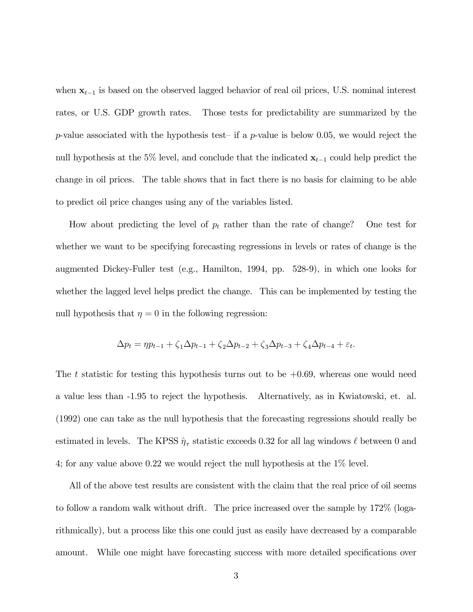when  $x_{t-1}$  is based on the observed lagged behavior of real oil prices, U.S. nominal interest rates, or U.S. GDP growth rates. Those tests for predictability are summarized by the p-value associated with the hypothesis test– if a p-value is below 0.05, we would reject the null hypothesis at the 5% level, and conclude that the indicated  $x_{t-1}$  could help predict the change in oil prices. The table shows that in fact there is no basis for claiming to be able to predict oil price changes using any of the variables listed.

How about predicting the level of  $p_t$  rather than the rate of change? One test for whether we want to be specifying forecasting regressions in levels or rates of change is the augmented Dickey-Fuller test (e.g., Hamilton, 1994, pp. 528-9), in which one looks for whether the lagged level helps predict the change. This can be implemented by testing the null hypothesis that  $\eta = 0$  in the following regression:

$$
\Delta p_t = \eta p_{t-1} + \zeta_1 \Delta p_{t-1} + \zeta_2 \Delta p_{t-2} + \zeta_3 \Delta p_{t-3} + \zeta_4 \Delta p_{t-4} + \varepsilon_t.
$$

The t statistic for testing this hypothesis turns out to be  $+0.69$ , whereas one would need a value less than -1.95 to reject the hypothesis. Alternatively, as in Kwiatowski, et. al. (1992) one can take as the null hypothesis that the forecasting regressions should really be estimated in levels. The KPSS  $\hat{\eta}_{\tau}$  statistic exceeds 0.32 for all lag windows  $\ell$  between 0 and 4; for any value above 0.22 we would reject the null hypothesis at the 1% level.

All of the above test results are consistent with the claim that the real price of oil seems to follow a random walk without drift. The price increased over the sample by 172% (logarithmically), but a process like this one could just as easily have decreased by a comparable amount. While one might have forecasting success with more detailed specifications over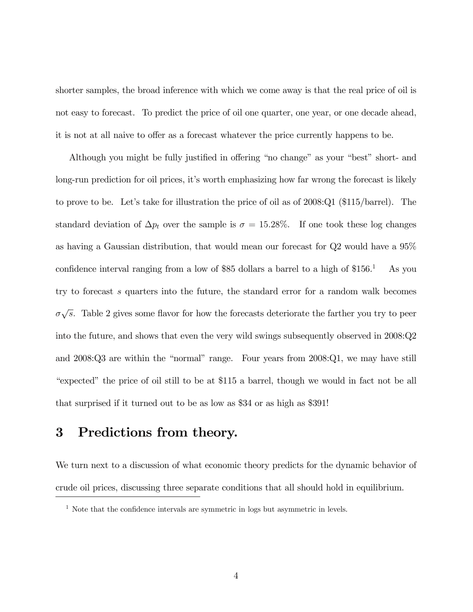shorter samples, the broad inference with which we come away is that the real price of oil is not easy to forecast. To predict the price of oil one quarter, one year, or one decade ahead, it is not at all naive to offer as a forecast whatever the price currently happens to be.

Although you might be fully justified in offering "no change" as your "best" short- and long-run prediction for oil prices, it's worth emphasizing how far wrong the forecast is likely to prove to be. Let's take for illustration the price of oil as of 2008:Q1 (\$115/barrel). The standard deviation of  $\Delta p_t$  over the sample is  $\sigma = 15.28\%$ . If one took these log changes as having a Gaussian distribution, that would mean our forecast for Q2 would have a 95% confidence interval ranging from a low of \$85 dollars a barrel to a high of  $$156<sup>1</sup>$  As you try to forecast s quarters into the future, the standard error for a random walk becomes  $\sigma\sqrt{s}$ . Table 2 gives some flavor for how the forecasts deteriorate the farther you try to peer into the future, and shows that even the very wild swings subsequently observed in 2008:Q2 and 2008:Q3 are within the "normal" range. Four years from 2008:Q1, we may have still "expected" the price of oil still to be at \$115 a barrel, though we would in fact not be all that surprised if it turned out to be as low as \$34 or as high as \$391!

## 3 Predictions from theory.

We turn next to a discussion of what economic theory predicts for the dynamic behavior of crude oil prices, discussing three separate conditions that all should hold in equilibrium.

<sup>&</sup>lt;sup>1</sup> Note that the confidence intervals are symmetric in logs but asymmetric in levels.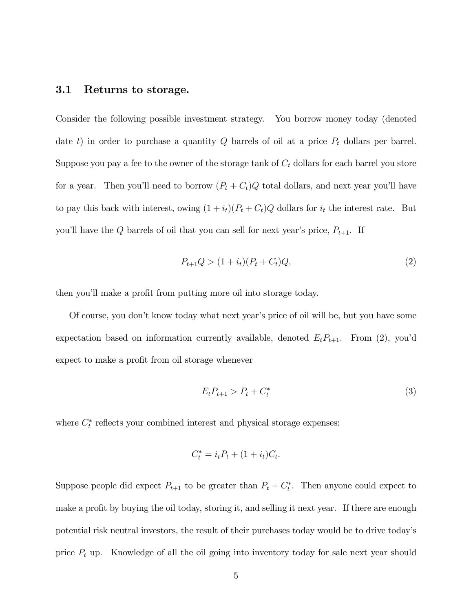### 3.1 Returns to storage.

Consider the following possible investment strategy. You borrow money today (denoted date t) in order to purchase a quantity  $Q$  barrels of oil at a price  $P_t$  dollars per barrel. Suppose you pay a fee to the owner of the storage tank of  $C_t$  dollars for each barrel you store for a year. Then you'll need to borrow  $(P_t + C_t)Q$  total dollars, and next year you'll have to pay this back with interest, owing  $(1 + i_t)(P_t + C_t)Q$  dollars for  $i_t$  the interest rate. But you'll have the  $Q$  barrels of oil that you can sell for next year's price,  $P_{t+1}$ . If

$$
P_{t+1}Q > (1 + i_t)(P_t + C_t)Q,
$$
\n(2)

then you'll make a profit from putting more oil into storage today.

Of course, you don't know today what next year's price of oil will be, but you have some expectation based on information currently available, denoted  $E_t P_{t+1}$ . From (2), you'd expect to make a profit from oil storage whenever

$$
E_t P_{t+1} > P_t + C_t^* \tag{3}
$$

where  $C_t^*$  reflects your combined interest and physical storage expenses:

$$
C_t^* = i_t P_t + (1 + i_t) C_t.
$$

Suppose people did expect  $P_{t+1}$  to be greater than  $P_t + C_t^*$ . Then anyone could expect to make a profit by buying the oil today, storing it, and selling it next year. If there are enough potential risk neutral investors, the result of their purchases today would be to drive today's price  $P_t$  up. Knowledge of all the oil going into inventory today for sale next year should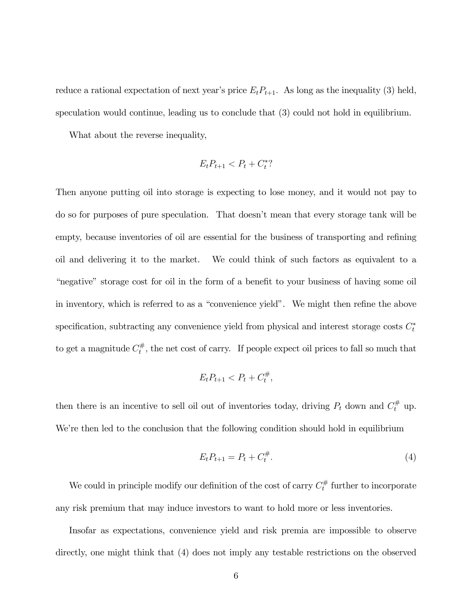reduce a rational expectation of next year's price  $E_t P_{t+1}$ . As long as the inequality (3) held, speculation would continue, leading us to conclude that (3) could not hold in equilibrium.

What about the reverse inequality,

$$
E_t P_{t+1} < P_t + C_t^*?
$$

Then anyone putting oil into storage is expecting to lose money, and it would not pay to do so for purposes of pure speculation. That doesn't mean that every storage tank will be empty, because inventories of oil are essential for the business of transporting and refining oil and delivering it to the market. We could think of such factors as equivalent to a "negative" storage cost for oil in the form of a benefit to your business of having some oil in inventory, which is referred to as a "convenience yield". We might then refine the above specification, subtracting any convenience yield from physical and interest storage costs  $C_t^*$ to get a magnitude  $C_t^{\#}$ , the net cost of carry. If people expect oil prices to fall so much that

$$
E_t P_{t+1} < P_t + C_t^{\#},
$$

then there is an incentive to sell oil out of inventories today, driving  $P_t$  down and  $C_t^{\#}$  up. We're then led to the conclusion that the following condition should hold in equilibrium

$$
E_t P_{t+1} = P_t + C_t^{\#}.
$$
\n(4)

We could in principle modify our definition of the cost of carry  $C_t^{\#}$  further to incorporate any risk premium that may induce investors to want to hold more or less inventories.

Insofar as expectations, convenience yield and risk premia are impossible to observe directly, one might think that (4) does not imply any testable restrictions on the observed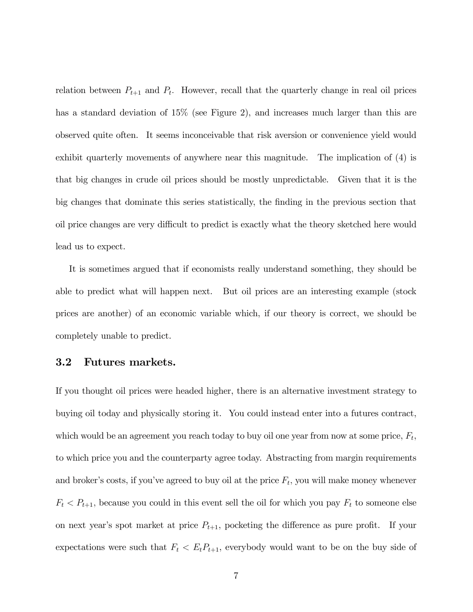relation between  $P_{t+1}$  and  $P_t$ . However, recall that the quarterly change in real oil prices has a standard deviation of  $15\%$  (see Figure 2), and increases much larger than this are observed quite often. It seems inconceivable that risk aversion or convenience yield would exhibit quarterly movements of anywhere near this magnitude. The implication of (4) is that big changes in crude oil prices should be mostly unpredictable. Given that it is the big changes that dominate this series statistically, the finding in the previous section that oil price changes are very difficult to predict is exactly what the theory sketched here would lead us to expect.

It is sometimes argued that if economists really understand something, they should be able to predict what will happen next. But oil prices are an interesting example (stock prices are another) of an economic variable which, if our theory is correct, we should be completely unable to predict.

#### 3.2 Futures markets.

If you thought oil prices were headed higher, there is an alternative investment strategy to buying oil today and physically storing it. You could instead enter into a futures contract, which would be an agreement you reach today to buy oil one year from now at some price,  $F_t$ , to which price you and the counterparty agree today. Abstracting from margin requirements and broker's costs, if you've agreed to buy oil at the price  $F_t$ , you will make money whenever  $F_t < P_{t+1}$ , because you could in this event sell the oil for which you pay  $F_t$  to someone else on next year's spot market at price  $P_{t+1}$ , pocketing the difference as pure profit. If your expectations were such that  $F_t < E_t P_{t+1}$ , everybody would want to be on the buy side of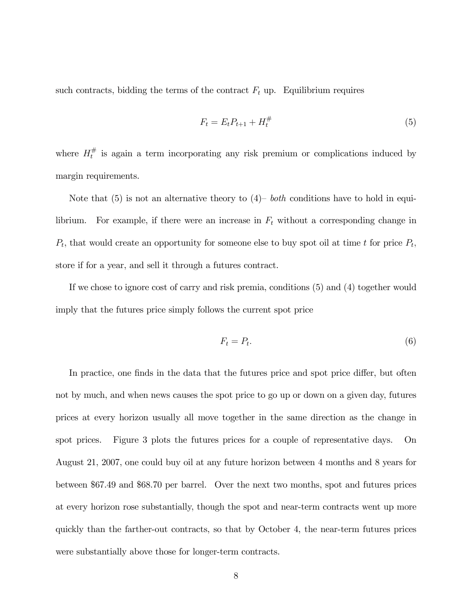such contracts, bidding the terms of the contract  $F_t$  up. Equilibrium requires

$$
F_t = E_t P_{t+1} + H_t^{\#} \tag{5}
$$

where  $H_t^{\#}$  is again a term incorporating any risk premium or complications induced by margin requirements.

Note that  $(5)$  is not an alternative theory to  $(4)$ – both conditions have to hold in equilibrium. For example, if there were an increase in  $F_t$  without a corresponding change in  $P_t$ , that would create an opportunity for someone else to buy spot oil at time t for price  $P_t$ , store if for a year, and sell it through a futures contract.

If we chose to ignore cost of carry and risk premia, conditions (5) and (4) together would imply that the futures price simply follows the current spot price

$$
F_t = P_t. \tag{6}
$$

In practice, one finds in the data that the futures price and spot price differ, but often not by much, and when news causes the spot price to go up or down on a given day, futures prices at every horizon usually all move together in the same direction as the change in spot prices. Figure 3 plots the futures prices for a couple of representative days. On August 21, 2007, one could buy oil at any future horizon between 4 months and 8 years for between \$67.49 and \$68.70 per barrel. Over the next two months, spot and futures prices at every horizon rose substantially, though the spot and near-term contracts went up more quickly than the farther-out contracts, so that by October 4, the near-term futures prices were substantially above those for longer-term contracts.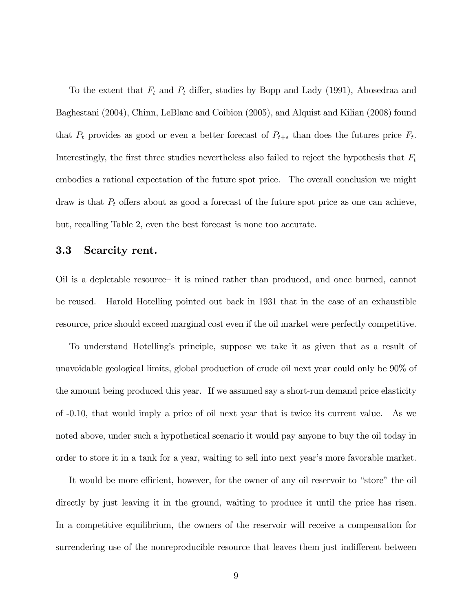To the extent that  $F_t$  and  $P_t$  differ, studies by Bopp and Lady (1991), Abosedraa and Baghestani (2004), Chinn, LeBlanc and Coibion (2005), and Alquist and Kilian (2008) found that  $P_t$  provides as good or even a better forecast of  $P_{t+s}$  than does the futures price  $F_t$ . Interestingly, the first three studies nevertheless also failed to reject the hypothesis that  $F_t$ embodies a rational expectation of the future spot price. The overall conclusion we might draw is that  $P_t$  offers about as good a forecast of the future spot price as one can achieve, but, recalling Table 2, even the best forecast is none too accurate.

#### 3.3 Scarcity rent.

Oil is a depletable resource— it is mined rather than produced, and once burned, cannot be reused. Harold Hotelling pointed out back in 1931 that in the case of an exhaustible resource, price should exceed marginal cost even if the oil market were perfectly competitive.

To understand Hotelling's principle, suppose we take it as given that as a result of unavoidable geological limits, global production of crude oil next year could only be 90% of the amount being produced this year. If we assumed say a short-run demand price elasticity of -0.10, that would imply a price of oil next year that is twice its current value. As we noted above, under such a hypothetical scenario it would pay anyone to buy the oil today in order to store it in a tank for a year, waiting to sell into next year's more favorable market.

It would be more efficient, however, for the owner of any oil reservoir to "store" the oil directly by just leaving it in the ground, waiting to produce it until the price has risen. In a competitive equilibrium, the owners of the reservoir will receive a compensation for surrendering use of the nonreproducible resource that leaves them just indifferent between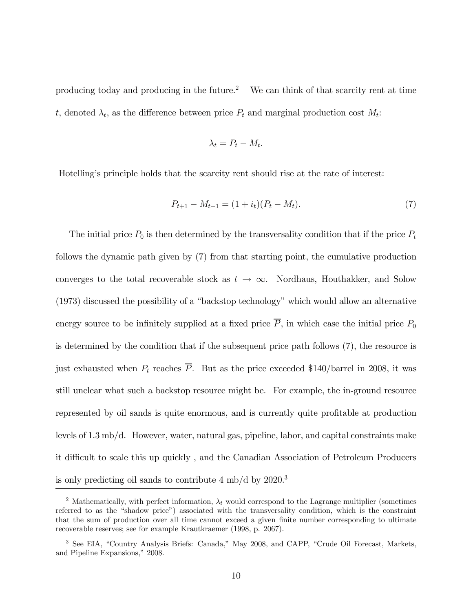producing today and producing in the future.<sup>2</sup> We can think of that scarcity rent at time t, denoted  $\lambda_t$ , as the difference between price  $P_t$  and marginal production cost  $M_t$ :

$$
\lambda_t = P_t - M_t.
$$

Hotelling's principle holds that the scarcity rent should rise at the rate of interest:

$$
P_{t+1} - M_{t+1} = (1 + i_t)(P_t - M_t). \tag{7}
$$

The initial price  $P_0$  is then determined by the transversality condition that if the price  $P_t$ follows the dynamic path given by (7) from that starting point, the cumulative production converges to the total recoverable stock as  $t \to \infty$ . Nordhaus, Houthakker, and Solow (1973) discussed the possibility of a "backstop technology" which would allow an alternative energy source to be infinitely supplied at a fixed price  $\overline{P}$ , in which case the initial price  $P_0$ is determined by the condition that if the subsequent price path follows (7), the resource is just exhausted when  $P_t$  reaches  $\overline{P}$ . But as the price exceeded \$140/barrel in 2008, it was still unclear what such a backstop resource might be. For example, the in-ground resource represented by oil sands is quite enormous, and is currently quite profitable at production levels of 1.3 mb/d. However, water, natural gas, pipeline, labor, and capital constraints make it difficult to scale this up quickly , and the Canadian Association of Petroleum Producers is only predicting oil sands to contribute  $4 \text{ mb/d by } 2020$ .<sup>3</sup>

<sup>&</sup>lt;sup>2</sup> Mathematically, with perfect information,  $\lambda_t$  would correspond to the Lagrange multiplier (sometimes referred to as the "shadow price") associated with the transversality condition, which is the constraint that the sum of production over all time cannot exceed a given finite number corresponding to ultimate recoverable reserves; see for example Krautkraemer (1998, p. 2067).

<sup>3</sup> See EIA, "Country Analysis Briefs: Canada," May 2008, and CAPP, "Crude Oil Forecast, Markets, and Pipeline Expansions," 2008.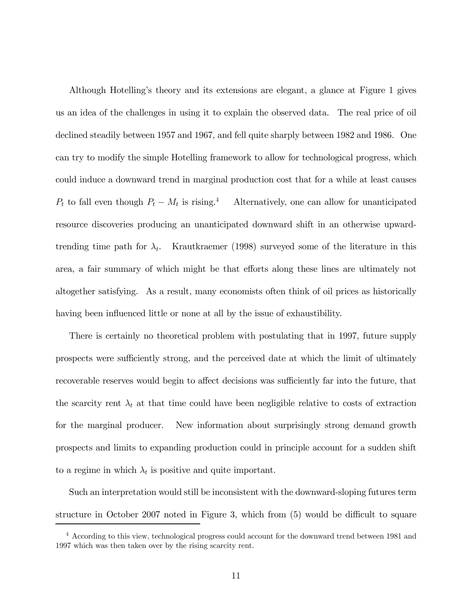Although Hotelling's theory and its extensions are elegant, a glance at Figure 1 gives us an idea of the challenges in using it to explain the observed data. The real price of oil declined steadily between 1957 and 1967, and fell quite sharply between 1982 and 1986. One can try to modify the simple Hotelling framework to allow for technological progress, which could induce a downward trend in marginal production cost that for a while at least causes  $P_t$  to fall even though  $P_t - M_t$  is rising.<sup>4</sup> Alternatively, one can allow for unanticipated resource discoveries producing an unanticipated downward shift in an otherwise upwardtrending time path for  $\lambda_t$ . Krautkraemer (1998) surveyed some of the literature in this area, a fair summary of which might be that efforts along these lines are ultimately not altogether satisfying. As a result, many economists often think of oil prices as historically having been influenced little or none at all by the issue of exhaustibility.

There is certainly no theoretical problem with postulating that in 1997, future supply prospects were sufficiently strong, and the perceived date at which the limit of ultimately recoverable reserves would begin to affect decisions was sufficiently far into the future, that the scarcity rent  $\lambda_t$  at that time could have been negligible relative to costs of extraction for the marginal producer. New information about surprisingly strong demand growth prospects and limits to expanding production could in principle account for a sudden shift to a regime in which  $\lambda_t$  is positive and quite important.

Such an interpretation would still be inconsistent with the downward-sloping futures term structure in October 2007 noted in Figure 3, which from (5) would be difficult to square

<sup>4</sup> According to this view, technological progress could account for the downward trend between 1981 and 1997 which was then taken over by the rising scarcity rent.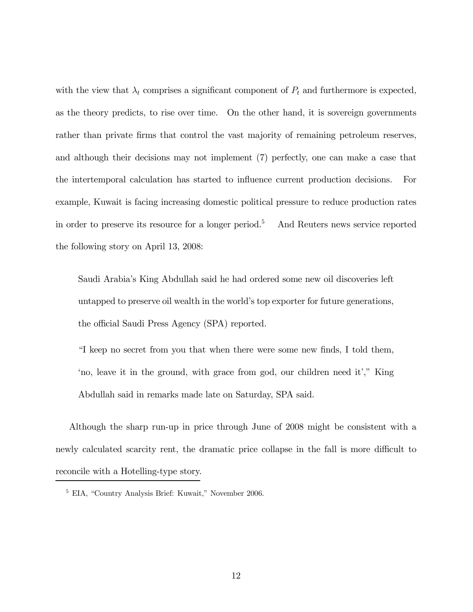with the view that  $\lambda_t$  comprises a significant component of  $P_t$  and furthermore is expected, as the theory predicts, to rise over time. On the other hand, it is sovereign governments rather than private firms that control the vast majority of remaining petroleum reserves, and although their decisions may not implement (7) perfectly, one can make a case that the intertemporal calculation has started to influence current production decisions. For example, Kuwait is facing increasing domestic political pressure to reduce production rates in order to preserve its resource for a longer period.5 And Reuters news service reported the following story on April 13, 2008:

Saudi Arabia's King Abdullah said he had ordered some new oil discoveries left untapped to preserve oil wealth in the world's top exporter for future generations, the official Saudi Press Agency (SPA) reported.

"I keep no secret from you that when there were some new finds, I told them, 'no, leave it in the ground, with grace from god, our children need it'," King Abdullah said in remarks made late on Saturday, SPA said.

Although the sharp run-up in price through June of 2008 might be consistent with a newly calculated scarcity rent, the dramatic price collapse in the fall is more difficult to reconcile with a Hotelling-type story.

<sup>5</sup> EIA, "Country Analysis Brief: Kuwait," November 2006.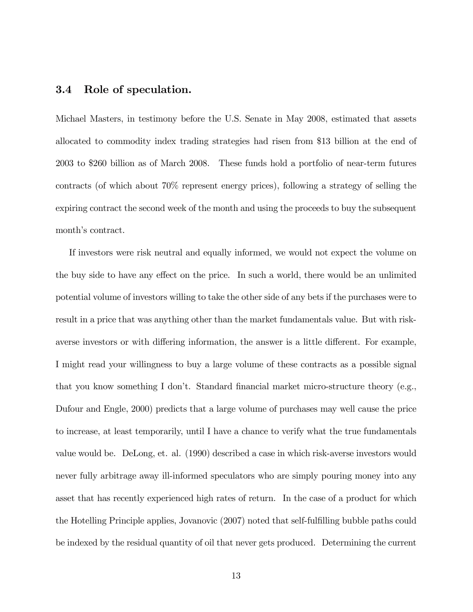### 3.4 Role of speculation.

Michael Masters, in testimony before the U.S. Senate in May 2008, estimated that assets allocated to commodity index trading strategies had risen from \$13 billion at the end of 2003 to \$260 billion as of March 2008. These funds hold a portfolio of near-term futures contracts (of which about 70% represent energy prices), following a strategy of selling the expiring contract the second week of the month and using the proceeds to buy the subsequent month's contract.

If investors were risk neutral and equally informed, we would not expect the volume on the buy side to have any effect on the price. In such a world, there would be an unlimited potential volume of investors willing to take the other side of any bets if the purchases were to result in a price that was anything other than the market fundamentals value. But with riskaverse investors or with differing information, the answer is a little different. For example, I might read your willingness to buy a large volume of these contracts as a possible signal that you know something I don't. Standard financial market micro-structure theory (e.g., Dufour and Engle, 2000) predicts that a large volume of purchases may well cause the price to increase, at least temporarily, until I have a chance to verify what the true fundamentals value would be. DeLong, et. al. (1990) described a case in which risk-averse investors would never fully arbitrage away ill-informed speculators who are simply pouring money into any asset that has recently experienced high rates of return. In the case of a product for which the Hotelling Principle applies, Jovanovic (2007) noted that self-fulfilling bubble paths could be indexed by the residual quantity of oil that never gets produced. Determining the current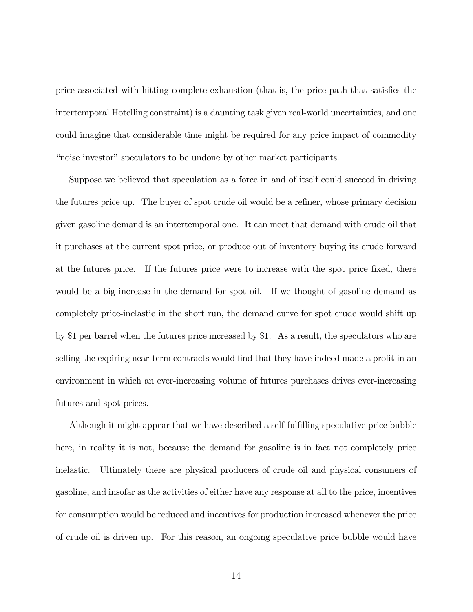price associated with hitting complete exhaustion (that is, the price path that satisfies the intertemporal Hotelling constraint) is a daunting task given real-world uncertainties, and one could imagine that considerable time might be required for any price impact of commodity "noise investor" speculators to be undone by other market participants.

Suppose we believed that speculation as a force in and of itself could succeed in driving the futures price up. The buyer of spot crude oil would be a refiner, whose primary decision given gasoline demand is an intertemporal one. It can meet that demand with crude oil that it purchases at the current spot price, or produce out of inventory buying its crude forward at the futures price. If the futures price were to increase with the spot price fixed, there would be a big increase in the demand for spot oil. If we thought of gasoline demand as completely price-inelastic in the short run, the demand curve for spot crude would shift up by \$1 per barrel when the futures price increased by \$1. As a result, the speculators who are selling the expiring near-term contracts would find that they have indeed made a profit in an environment in which an ever-increasing volume of futures purchases drives ever-increasing futures and spot prices.

Although it might appear that we have described a self-fulfilling speculative price bubble here, in reality it is not, because the demand for gasoline is in fact not completely price inelastic. Ultimately there are physical producers of crude oil and physical consumers of gasoline, and insofar as the activities of either have any response at all to the price, incentives for consumption would be reduced and incentives for production increased whenever the price of crude oil is driven up. For this reason, an ongoing speculative price bubble would have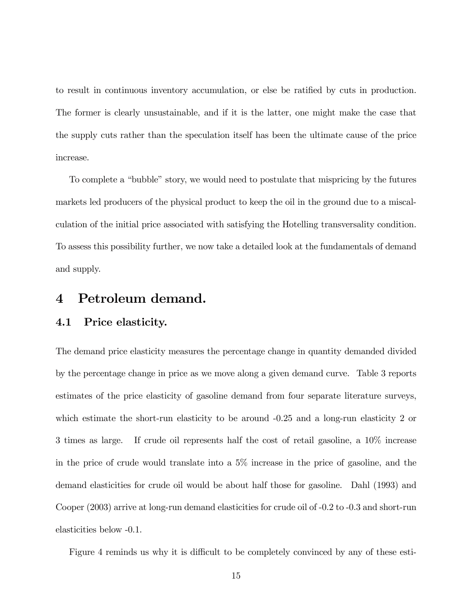to result in continuous inventory accumulation, or else be ratified by cuts in production. The former is clearly unsustainable, and if it is the latter, one might make the case that the supply cuts rather than the speculation itself has been the ultimate cause of the price increase.

To complete a "bubble" story, we would need to postulate that mispricing by the futures markets led producers of the physical product to keep the oil in the ground due to a miscalculation of the initial price associated with satisfying the Hotelling transversality condition. To assess this possibility further, we now take a detailed look at the fundamentals of demand and supply.

### 4 Petroleum demand.

#### 4.1 Price elasticity.

The demand price elasticity measures the percentage change in quantity demanded divided by the percentage change in price as we move along a given demand curve. Table 3 reports estimates of the price elasticity of gasoline demand from four separate literature surveys, which estimate the short-run elasticity to be around -0.25 and a long-run elasticity 2 or 3 times as large. If crude oil represents half the cost of retail gasoline, a 10% increase in the price of crude would translate into a 5% increase in the price of gasoline, and the demand elasticities for crude oil would be about half those for gasoline. Dahl (1993) and Cooper (2003) arrive at long-run demand elasticities for crude oil of -0.2 to -0.3 and short-run elasticities below -0.1.

Figure 4 reminds us why it is difficult to be completely convinced by any of these esti-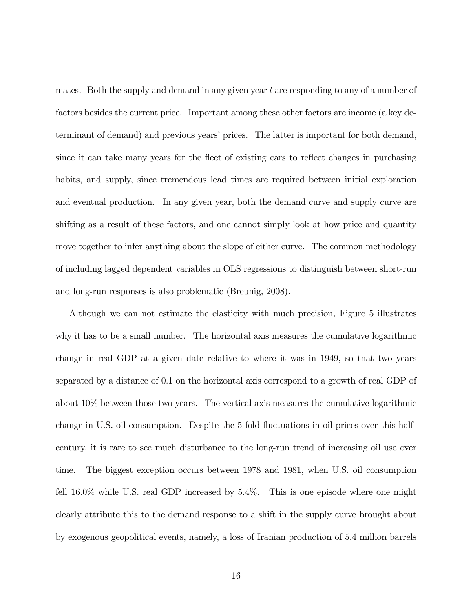mates. Both the supply and demand in any given year t are responding to any of a number of factors besides the current price. Important among these other factors are income (a key determinant of demand) and previous years' prices. The latter is important for both demand, since it can take many years for the fleet of existing cars to reflect changes in purchasing habits, and supply, since tremendous lead times are required between initial exploration and eventual production. In any given year, both the demand curve and supply curve are shifting as a result of these factors, and one cannot simply look at how price and quantity move together to infer anything about the slope of either curve. The common methodology of including lagged dependent variables in OLS regressions to distinguish between short-run and long-run responses is also problematic (Breunig, 2008).

Although we can not estimate the elasticity with much precision, Figure 5 illustrates why it has to be a small number. The horizontal axis measures the cumulative logarithmic change in real GDP at a given date relative to where it was in 1949, so that two years separated by a distance of 0.1 on the horizontal axis correspond to a growth of real GDP of about 10% between those two years. The vertical axis measures the cumulative logarithmic change in U.S. oil consumption. Despite the 5-fold fluctuations in oil prices over this halfcentury, it is rare to see much disturbance to the long-run trend of increasing oil use over time. The biggest exception occurs between 1978 and 1981, when U.S. oil consumption fell 16.0% while U.S. real GDP increased by 5.4%. This is one episode where one might clearly attribute this to the demand response to a shift in the supply curve brought about by exogenous geopolitical events, namely, a loss of Iranian production of 5.4 million barrels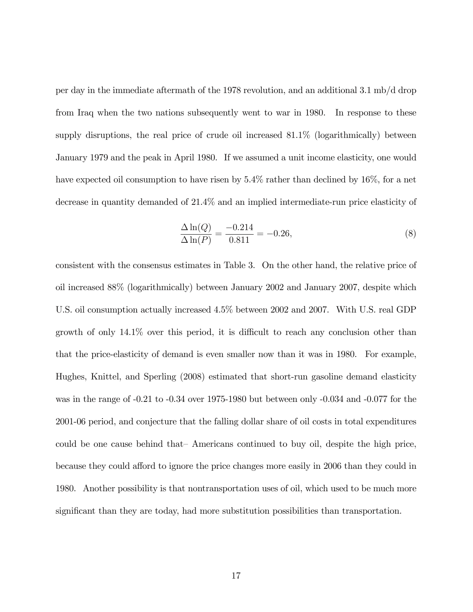per day in the immediate aftermath of the 1978 revolution, and an additional 3.1 mb/d drop from Iraq when the two nations subsequently went to war in 1980. In response to these supply disruptions, the real price of crude oil increased 81.1% (logarithmically) between January 1979 and the peak in April 1980. If we assumed a unit income elasticity, one would have expected oil consumption to have risen by  $5.4\%$  rather than declined by  $16\%$ , for a net decrease in quantity demanded of 21.4% and an implied intermediate-run price elasticity of

$$
\frac{\Delta \ln(Q)}{\Delta \ln(P)} = \frac{-0.214}{0.811} = -0.26,\tag{8}
$$

consistent with the consensus estimates in Table 3. On the other hand, the relative price of oil increased 88% (logarithmically) between January 2002 and January 2007, despite which U.S. oil consumption actually increased 4.5% between 2002 and 2007. With U.S. real GDP growth of only 14.1% over this period, it is difficult to reach any conclusion other than that the price-elasticity of demand is even smaller now than it was in 1980. For example, Hughes, Knittel, and Sperling (2008) estimated that short-run gasoline demand elasticity was in the range of -0.21 to -0.34 over 1975-1980 but between only -0.034 and -0.077 for the 2001-06 period, and conjecture that the falling dollar share of oil costs in total expenditures could be one cause behind that— Americans continued to buy oil, despite the high price, because they could afford to ignore the price changes more easily in 2006 than they could in 1980. Another possibility is that nontransportation uses of oil, which used to be much more significant than they are today, had more substitution possibilities than transportation.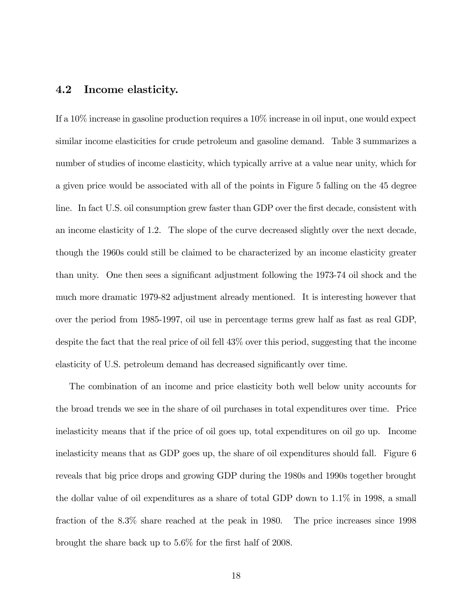### 4.2 Income elasticity.

If a 10% increase in gasoline production requires a 10% increase in oil input, one would expect similar income elasticities for crude petroleum and gasoline demand. Table 3 summarizes a number of studies of income elasticity, which typically arrive at a value near unity, which for a given price would be associated with all of the points in Figure 5 falling on the 45 degree line. In fact U.S. oil consumption grew faster than GDP over the first decade, consistent with an income elasticity of 1.2. The slope of the curve decreased slightly over the next decade, though the 1960s could still be claimed to be characterized by an income elasticity greater than unity. One then sees a significant adjustment following the 1973-74 oil shock and the much more dramatic 1979-82 adjustment already mentioned. It is interesting however that over the period from 1985-1997, oil use in percentage terms grew half as fast as real GDP, despite the fact that the real price of oil fell 43% over this period, suggesting that the income elasticity of U.S. petroleum demand has decreased significantly over time.

The combination of an income and price elasticity both well below unity accounts for the broad trends we see in the share of oil purchases in total expenditures over time. Price inelasticity means that if the price of oil goes up, total expenditures on oil go up. Income inelasticity means that as GDP goes up, the share of oil expenditures should fall. Figure 6 reveals that big price drops and growing GDP during the 1980s and 1990s together brought the dollar value of oil expenditures as a share of total GDP down to 1.1% in 1998, a small fraction of the 8.3% share reached at the peak in 1980. The price increases since 1998 brought the share back up to 5.6% for the first half of 2008.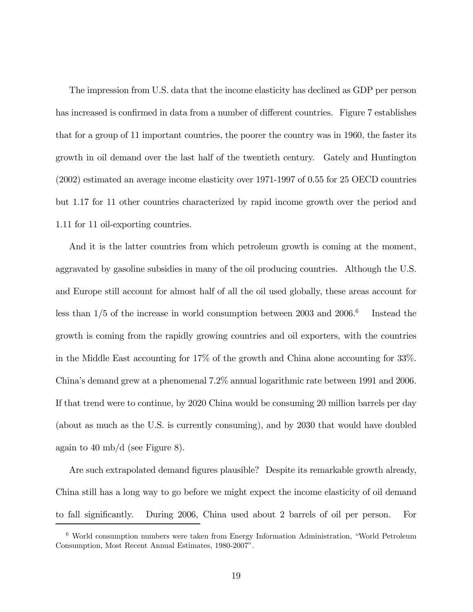The impression from U.S. data that the income elasticity has declined as GDP per person has increased is confirmed in data from a number of different countries. Figure 7 establishes that for a group of 11 important countries, the poorer the country was in 1960, the faster its growth in oil demand over the last half of the twentieth century. Gately and Huntington (2002) estimated an average income elasticity over 1971-1997 of 0.55 for 25 OECD countries but 1.17 for 11 other countries characterized by rapid income growth over the period and 1.11 for 11 oil-exporting countries.

And it is the latter countries from which petroleum growth is coming at the moment, aggravated by gasoline subsidies in many of the oil producing countries. Although the U.S. and Europe still account for almost half of all the oil used globally, these areas account for less than  $1/5$  of the increase in world consumption between 2003 and 2006.<sup>6</sup> Instead the growth is coming from the rapidly growing countries and oil exporters, with the countries in the Middle East accounting for 17% of the growth and China alone accounting for 33%. China's demand grew at a phenomenal 7.2% annual logarithmic rate between 1991 and 2006. If that trend were to continue, by 2020 China would be consuming 20 million barrels per day (about as much as the U.S. is currently consuming), and by 2030 that would have doubled again to 40 mb/d (see Figure 8).

Are such extrapolated demand figures plausible? Despite its remarkable growth already, China still has a long way to go before we might expect the income elasticity of oil demand to fall significantly. During 2006, China used about 2 barrels of oil per person. For

<sup>6</sup> World consumption numbers were taken from Energy Information Administration, "World Petroleum Consumption, Most Recent Annual Estimates, 1980-2007".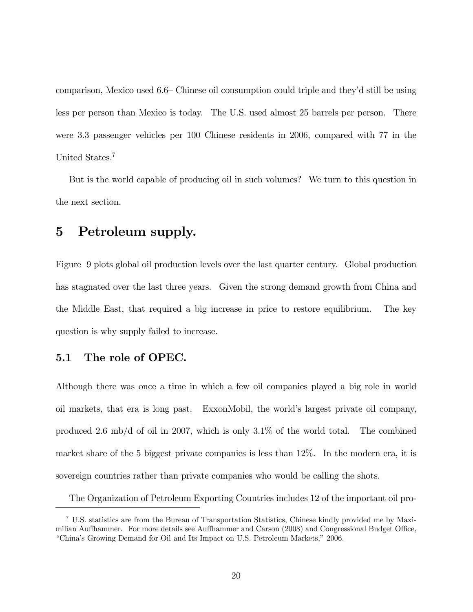comparison, Mexico used 6.6— Chinese oil consumption could triple and they'd still be using less per person than Mexico is today. The U.S. used almost 25 barrels per person. There were 3.3 passenger vehicles per 100 Chinese residents in 2006, compared with 77 in the United States.7

But is the world capable of producing oil in such volumes? We turn to this question in the next section.

## 5 Petroleum supply.

Figure 9 plots global oil production levels over the last quarter century. Global production has stagnated over the last three years. Given the strong demand growth from China and the Middle East, that required a big increase in price to restore equilibrium. The key question is why supply failed to increase.

## 5.1 The role of OPEC.

Although there was once a time in which a few oil companies played a big role in world oil markets, that era is long past. ExxonMobil, the world's largest private oil company, produced 2.6 mb/d of oil in 2007, which is only 3.1% of the world total. The combined market share of the 5 biggest private companies is less than 12%. In the modern era, it is sovereign countries rather than private companies who would be calling the shots.

The Organization of Petroleum Exporting Countries includes 12 of the important oil pro-

<sup>7</sup> U.S. statistics are from the Bureau of Transportation Statistics, Chinese kindly provided me by Maximilian Auffhammer. For more details see Auffhammer and Carson (2008) and Congressional Budget Office, "China's Growing Demand for Oil and Its Impact on U.S. Petroleum Markets," 2006.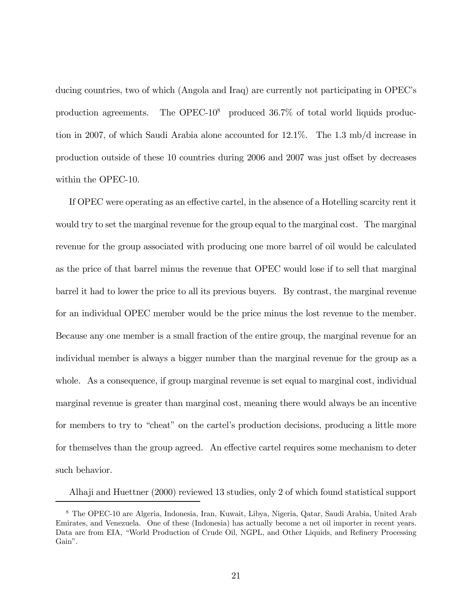ducing countries, two of which (Angola and Iraq) are currently not participating in OPEC's production agreements. The OPEC-10<sup>8</sup> produced  $36.7\%$  of total world liquids production in 2007, of which Saudi Arabia alone accounted for 12.1%. The 1.3 mb/d increase in production outside of these 10 countries during 2006 and 2007 was just offset by decreases within the OPEC-10.

If OPEC were operating as an effective cartel, in the absence of a Hotelling scarcity rent it would try to set the marginal revenue for the group equal to the marginal cost. The marginal revenue for the group associated with producing one more barrel of oil would be calculated as the price of that barrel minus the revenue that OPEC would lose if to sell that marginal barrel it had to lower the price to all its previous buyers. By contrast, the marginal revenue for an individual OPEC member would be the price minus the lost revenue to the member. Because any one member is a small fraction of the entire group, the marginal revenue for an individual member is always a bigger number than the marginal revenue for the group as a whole. As a consequence, if group marginal revenue is set equal to marginal cost, individual marginal revenue is greater than marginal cost, meaning there would always be an incentive for members to try to "cheat" on the cartel's production decisions, producing a little more for themselves than the group agreed. An effective cartel requires some mechanism to deter such behavior.

Alhaji and Huettner (2000) reviewed 13 studies, only 2 of which found statistical support

<sup>8</sup> The OPEC-10 are Algeria, Indonesia, Iran, Kuwait, Libya, Nigeria, Qatar, Saudi Arabia, United Arab Emirates, and Venezuela. One of these (Indonesia) has actually become a net oil importer in recent years. Data are from EIA, "World Production of Crude Oil, NGPL, and Other Liquids, and Refinery Processing Gain".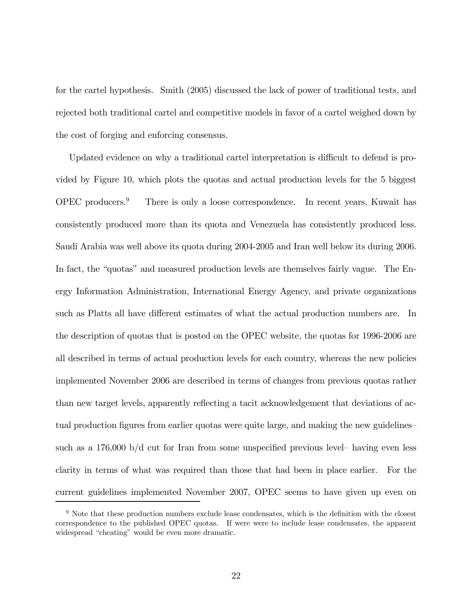for the cartel hypothesis. Smith (2005) discussed the lack of power of traditional tests, and rejected both traditional cartel and competitive models in favor of a cartel weighed down by the cost of forging and enforcing consensus.

Updated evidence on why a traditional cartel interpretation is difficult to defend is provided by Figure 10, which plots the quotas and actual production levels for the 5 biggest  $OPEC$  producers.<sup>9</sup> There is only a loose correspondence. In recent years, Kuwait has consistently produced more than its quota and Venezuela has consistently produced less. Saudi Arabia was well above its quota during 2004-2005 and Iran well below its during 2006. In fact, the "quotas" and measured production levels are themselves fairly vague. The Energy Information Administration, International Energy Agency, and private organizations such as Platts all have different estimates of what the actual production numbers are. In the description of quotas that is posted on the OPEC website, the quotas for 1996-2006 are all described in terms of actual production levels for each country, whereas the new policies implemented November 2006 are described in terms of changes from previous quotas rather than new target levels, apparently reflecting a tacit acknowledgement that deviations of actual production figures from earlier quotas were quite large, and making the new guidelines such as a 176,000 b/d cut for Iran from some unspecified previous level— having even less clarity in terms of what was required than those that had been in place earlier. For the current guidelines implemented November 2007, OPEC seems to have given up even on

<sup>9</sup> Note that these production numbers exclude lease condensates, which is the definition with the closest correspondence to the published OPEC quotas. If were were to include lease condensates, the apparent widespread "cheating" would be even more dramatic.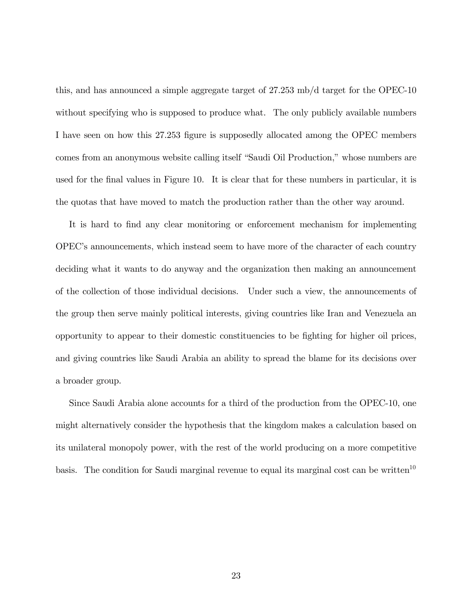this, and has announced a simple aggregate target of 27.253 mb/d target for the OPEC-10 without specifying who is supposed to produce what. The only publicly available numbers I have seen on how this 27.253 figure is supposedly allocated among the OPEC members comes from an anonymous website calling itself "Saudi Oil Production," whose numbers are used for the final values in Figure 10. It is clear that for these numbers in particular, it is the quotas that have moved to match the production rather than the other way around.

It is hard to find any clear monitoring or enforcement mechanism for implementing OPEC's announcements, which instead seem to have more of the character of each country deciding what it wants to do anyway and the organization then making an announcement of the collection of those individual decisions. Under such a view, the announcements of the group then serve mainly political interests, giving countries like Iran and Venezuela an opportunity to appear to their domestic constituencies to be fighting for higher oil prices, and giving countries like Saudi Arabia an ability to spread the blame for its decisions over a broader group.

Since Saudi Arabia alone accounts for a third of the production from the OPEC-10, one might alternatively consider the hypothesis that the kingdom makes a calculation based on its unilateral monopoly power, with the rest of the world producing on a more competitive basis. The condition for Saudi marginal revenue to equal its marginal cost can be written<sup>10</sup>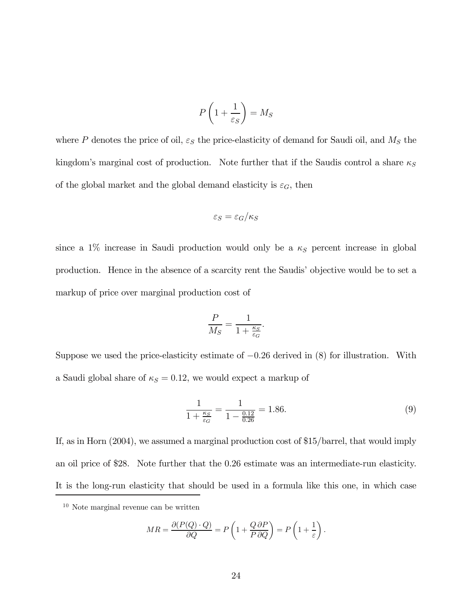$$
P\left(1+\frac{1}{\varepsilon_S}\right) = M_S
$$

where P denotes the price of oil,  $\varepsilon_S$  the price-elasticity of demand for Saudi oil, and  $M_S$  the kingdom's marginal cost of production. Note further that if the Saudis control a share  $\kappa_S$ of the global market and the global demand elasticity is  $\varepsilon_G$ , then

$$
\varepsilon_S = \varepsilon_G/\kappa_S
$$

since a 1% increase in Saudi production would only be a  $\kappa_S$  percent increase in global production. Hence in the absence of a scarcity rent the Saudis' objective would be to set a markup of price over marginal production cost of

$$
\frac{P}{M_S} = \frac{1}{1+\frac{\kappa_S}{\varepsilon_G}}.
$$

Suppose we used the price-elasticity estimate of  $-0.26$  derived in  $(8)$  for illustration. With a Saudi global share of  $\kappa_S = 0.12$ , we would expect a markup of

$$
\frac{1}{1 + \frac{\kappa_S}{\varepsilon_G}} = \frac{1}{1 - \frac{0.12}{0.26}} = 1.86.
$$
\n(9)

If, as in Horn (2004), we assumed a marginal production cost of \$15/barrel, that would imply an oil price of \$28. Note further that the 0.26 estimate was an intermediate-run elasticity. It is the long-run elasticity that should be used in a formula like this one, in which case

$$
MR = \frac{\partial (P(Q) \cdot Q)}{\partial Q} = P\left(1 + \frac{Q \partial P}{P \partial Q}\right) = P\left(1 + \frac{1}{\varepsilon}\right).
$$

<sup>10</sup> Note marginal revenue can be written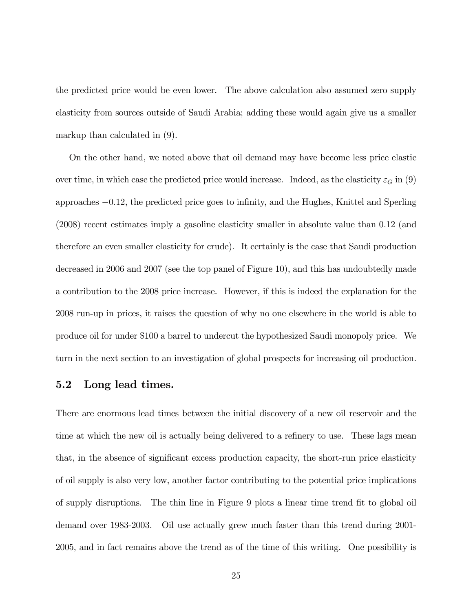the predicted price would be even lower. The above calculation also assumed zero supply elasticity from sources outside of Saudi Arabia; adding these would again give us a smaller markup than calculated in (9).

On the other hand, we noted above that oil demand may have become less price elastic over time, in which case the predicted price would increase. Indeed, as the elasticity  $\varepsilon_G$  in (9) approaches −0.12, the predicted price goes to infinity, and the Hughes, Knittel and Sperling (2008) recent estimates imply a gasoline elasticity smaller in absolute value than 0.12 (and therefore an even smaller elasticity for crude). It certainly is the case that Saudi production decreased in 2006 and 2007 (see the top panel of Figure 10), and this has undoubtedly made a contribution to the 2008 price increase. However, if this is indeed the explanation for the 2008 run-up in prices, it raises the question of why no one elsewhere in the world is able to produce oil for under \$100 a barrel to undercut the hypothesized Saudi monopoly price. We turn in the next section to an investigation of global prospects for increasing oil production.

### 5.2 Long lead times.

There are enormous lead times between the initial discovery of a new oil reservoir and the time at which the new oil is actually being delivered to a refinery to use. These lags mean that, in the absence of significant excess production capacity, the short-run price elasticity of oil supply is also very low, another factor contributing to the potential price implications of supply disruptions. The thin line in Figure 9 plots a linear time trend fit to global oil demand over 1983-2003. Oil use actually grew much faster than this trend during 2001- 2005, and in fact remains above the trend as of the time of this writing. One possibility is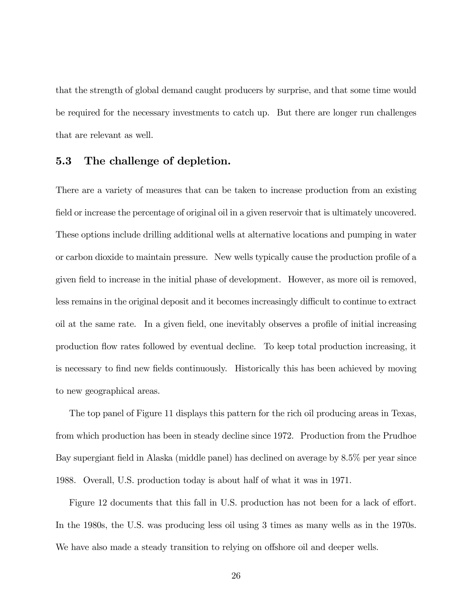that the strength of global demand caught producers by surprise, and that some time would be required for the necessary investments to catch up. But there are longer run challenges that are relevant as well.

### 5.3 The challenge of depletion.

There are a variety of measures that can be taken to increase production from an existing field or increase the percentage of original oil in a given reservoir that is ultimately uncovered. These options include drilling additional wells at alternative locations and pumping in water or carbon dioxide to maintain pressure. New wells typically cause the production profile of a given field to increase in the initial phase of development. However, as more oil is removed, less remains in the original deposit and it becomes increasingly difficult to continue to extract oil at the same rate. In a given field, one inevitably observes a profile of initial increasing production flow rates followed by eventual decline. To keep total production increasing, it is necessary to find new fields continuously. Historically this has been achieved by moving to new geographical areas.

The top panel of Figure 11 displays this pattern for the rich oil producing areas in Texas, from which production has been in steady decline since 1972. Production from the Prudhoe Bay supergiant field in Alaska (middle panel) has declined on average by 8.5% per year since 1988. Overall, U.S. production today is about half of what it was in 1971.

Figure 12 documents that this fall in U.S. production has not been for a lack of effort. In the 1980s, the U.S. was producing less oil using 3 times as many wells as in the 1970s. We have also made a steady transition to relying on offshore oil and deeper wells.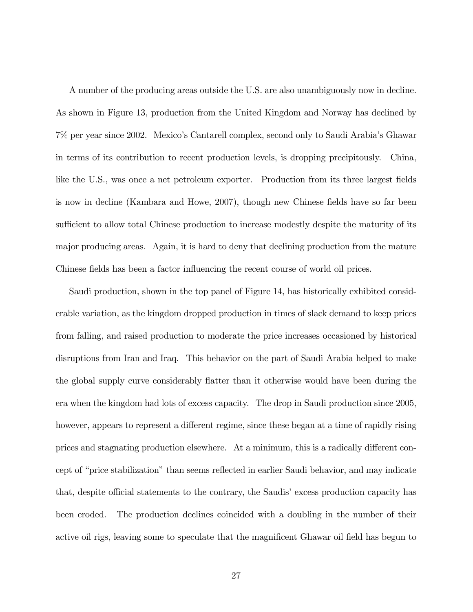A number of the producing areas outside the U.S. are also unambiguously now in decline. As shown in Figure 13, production from the United Kingdom and Norway has declined by 7% per year since 2002. Mexico's Cantarell complex, second only to Saudi Arabia's Ghawar in terms of its contribution to recent production levels, is dropping precipitously. China, like the U.S., was once a net petroleum exporter. Production from its three largest fields is now in decline (Kambara and Howe, 2007), though new Chinese fields have so far been sufficient to allow total Chinese production to increase modestly despite the maturity of its major producing areas. Again, it is hard to deny that declining production from the mature Chinese fields has been a factor influencing the recent course of world oil prices.

Saudi production, shown in the top panel of Figure 14, has historically exhibited considerable variation, as the kingdom dropped production in times of slack demand to keep prices from falling, and raised production to moderate the price increases occasioned by historical disruptions from Iran and Iraq. This behavior on the part of Saudi Arabia helped to make the global supply curve considerably flatter than it otherwise would have been during the era when the kingdom had lots of excess capacity. The drop in Saudi production since 2005, however, appears to represent a different regime, since these began at a time of rapidly rising prices and stagnating production elsewhere. At a minimum, this is a radically different concept of "price stabilization" than seems reflected in earlier Saudi behavior, and may indicate that, despite official statements to the contrary, the Saudis' excess production capacity has been eroded. The production declines coincided with a doubling in the number of their active oil rigs, leaving some to speculate that the magnificent Ghawar oil field has begun to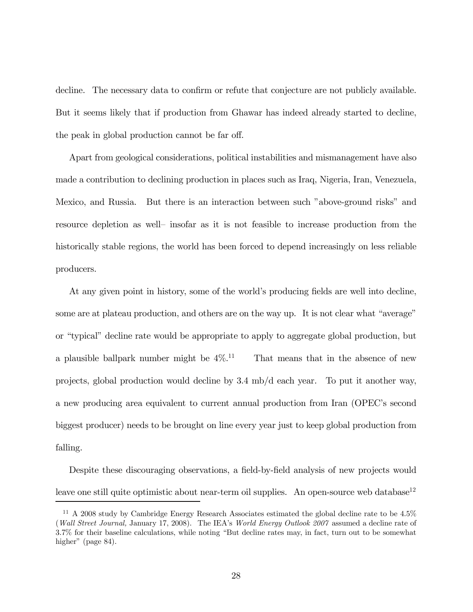decline. The necessary data to confirm or refute that conjecture are not publicly available. But it seems likely that if production from Ghawar has indeed already started to decline, the peak in global production cannot be far off.

Apart from geological considerations, political instabilities and mismanagement have also made a contribution to declining production in places such as Iraq, Nigeria, Iran, Venezuela, Mexico, and Russia. But there is an interaction between such "above-ground risks" and resource depletion as well— insofar as it is not feasible to increase production from the historically stable regions, the world has been forced to depend increasingly on less reliable producers.

At any given point in history, some of the world's producing fields are well into decline, some are at plateau production, and others are on the way up. It is not clear what "average" or "typical" decline rate would be appropriate to apply to aggregate global production, but a plausible ballpark number might be  $4\%$ .<sup>11</sup> That means that in the absence of new projects, global production would decline by 3.4 mb/d each year. To put it another way, a new producing area equivalent to current annual production from Iran (OPEC's second biggest producer) needs to be brought on line every year just to keep global production from falling.

Despite these discouraging observations, a field-by-field analysis of new projects would leave one still quite optimistic about near-term oil supplies. An open-source web database<sup>12</sup>

 $11$  A 2008 study by Cambridge Energy Research Associates estimated the global decline rate to be  $4.5\%$ (Wall Street Journal, January 17, 2008). The IEA's World Energy Outlook 2007 assumed a decline rate of 3.7% for their baseline calculations, while noting "But decline rates may, in fact, turn out to be somewhat higher" (page 84).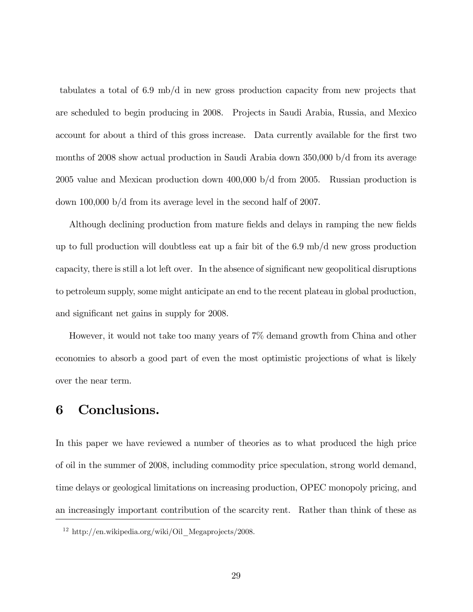tabulates a total of 6.9 mb/d in new gross production capacity from new projects that are scheduled to begin producing in 2008. Projects in Saudi Arabia, Russia, and Mexico account for about a third of this gross increase. Data currently available for the first two months of 2008 show actual production in Saudi Arabia down 350,000 b/d from its average 2005 value and Mexican production down 400,000 b/d from 2005. Russian production is down 100,000 b/d from its average level in the second half of 2007.

Although declining production from mature fields and delays in ramping the new fields up to full production will doubtless eat up a fair bit of the 6.9 mb/d new gross production capacity, there is still a lot left over. In the absence of significant new geopolitical disruptions to petroleum supply, some might anticipate an end to the recent plateau in global production, and significant net gains in supply for 2008.

However, it would not take too many years of 7% demand growth from China and other economies to absorb a good part of even the most optimistic projections of what is likely over the near term.

## 6 Conclusions.

In this paper we have reviewed a number of theories as to what produced the high price of oil in the summer of 2008, including commodity price speculation, strong world demand, time delays or geological limitations on increasing production, OPEC monopoly pricing, and an increasingly important contribution of the scarcity rent. Rather than think of these as

<sup>12</sup> http://en.wikipedia.org/wiki/Oil\_Megaprojects/2008.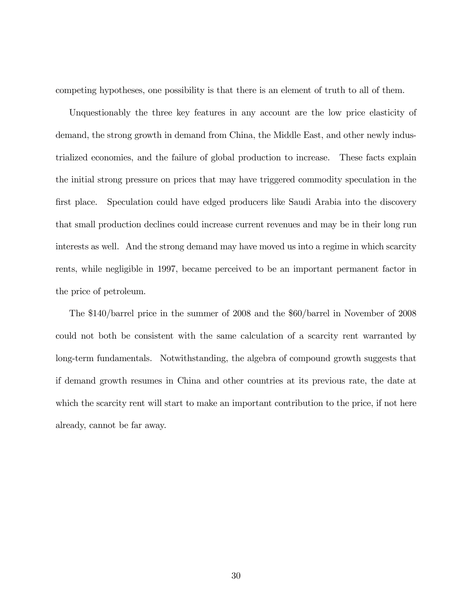competing hypotheses, one possibility is that there is an element of truth to all of them.

Unquestionably the three key features in any account are the low price elasticity of demand, the strong growth in demand from China, the Middle East, and other newly industrialized economies, and the failure of global production to increase. These facts explain the initial strong pressure on prices that may have triggered commodity speculation in the first place. Speculation could have edged producers like Saudi Arabia into the discovery that small production declines could increase current revenues and may be in their long run interests as well. And the strong demand may have moved us into a regime in which scarcity rents, while negligible in 1997, became perceived to be an important permanent factor in the price of petroleum.

The \$140/barrel price in the summer of 2008 and the \$60/barrel in November of 2008 could not both be consistent with the same calculation of a scarcity rent warranted by long-term fundamentals. Notwithstanding, the algebra of compound growth suggests that if demand growth resumes in China and other countries at its previous rate, the date at which the scarcity rent will start to make an important contribution to the price, if not here already, cannot be far away.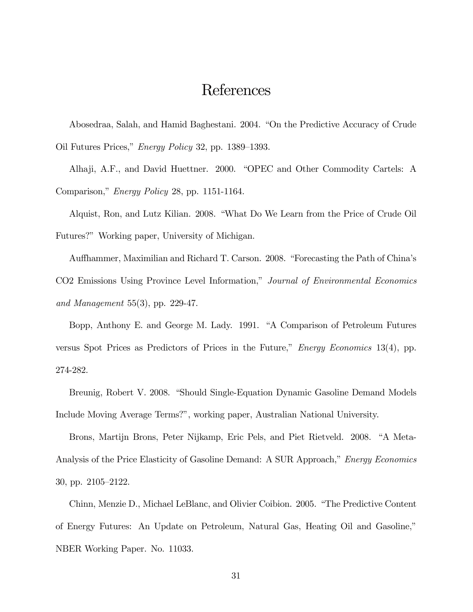## References

Abosedraa, Salah, and Hamid Baghestani. 2004. "On the Predictive Accuracy of Crude Oil Futures Prices," Energy Policy 32, pp. 1389—1393.

Alhaji, A.F., and David Huettner. 2000. "OPEC and Other Commodity Cartels: A Comparison," Energy Policy 28, pp. 1151-1164.

Alquist, Ron, and Lutz Kilian. 2008. "What Do We Learn from the Price of Crude Oil Futures?" Working paper, University of Michigan.

Auffhammer, Maximilian and Richard T. Carson. 2008. "Forecasting the Path of China's CO2 Emissions Using Province Level Information," Journal of Environmental Economics and Management 55(3), pp. 229-47.

Bopp, Anthony E. and George M. Lady. 1991. "A Comparison of Petroleum Futures versus Spot Prices as Predictors of Prices in the Future," Energy Economics 13(4), pp. 274-282.

Breunig, Robert V. 2008. "Should Single-Equation Dynamic Gasoline Demand Models Include Moving Average Terms?", working paper, Australian National University.

Brons, Martijn Brons, Peter Nijkamp, Eric Pels, and Piet Rietveld. 2008. "A Meta-Analysis of the Price Elasticity of Gasoline Demand: A SUR Approach," Energy Economics 30, pp. 2105—2122.

Chinn, Menzie D., Michael LeBlanc, and Olivier Coibion. 2005. "The Predictive Content of Energy Futures: An Update on Petroleum, Natural Gas, Heating Oil and Gasoline," NBER Working Paper. No. 11033.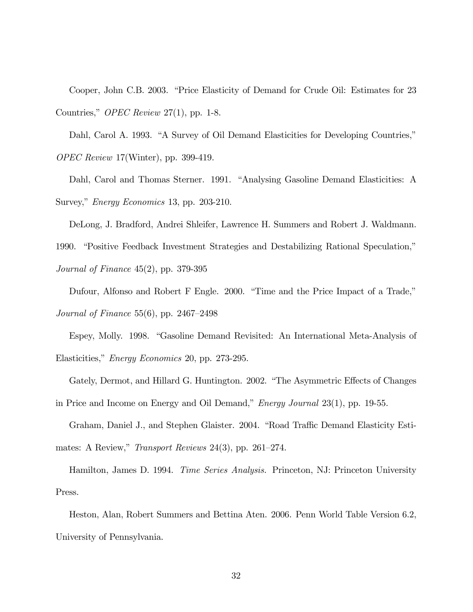Cooper, John C.B. 2003. "Price Elasticity of Demand for Crude Oil: Estimates for 23 Countries," OPEC Review 27(1), pp. 1-8.

Dahl, Carol A. 1993. "A Survey of Oil Demand Elasticities for Developing Countries," OPEC Review 17(Winter), pp. 399-419.

Dahl, Carol and Thomas Sterner. 1991. "Analysing Gasoline Demand Elasticities: A Survey," Energy Economics 13, pp. 203-210.

DeLong, J. Bradford, Andrei Shleifer, Lawrence H. Summers and Robert J. Waldmann. 1990. "Positive Feedback Investment Strategies and Destabilizing Rational Speculation," Journal of Finance 45(2), pp. 379-395

Dufour, Alfonso and Robert F Engle. 2000. "Time and the Price Impact of a Trade," Journal of Finance 55(6), pp. 2467—2498

Espey, Molly. 1998. "Gasoline Demand Revisited: An International Meta-Analysis of Elasticities," Energy Economics 20, pp. 273-295.

Gately, Dermot, and Hillard G. Huntington. 2002. "The Asymmetric Effects of Changes

in Price and Income on Energy and Oil Demand," Energy Journal 23(1), pp. 19-55.

Graham, Daniel J., and Stephen Glaister. 2004. "Road Traffic Demand Elasticity Estimates: A Review," Transport Reviews 24(3), pp. 261—274.

Hamilton, James D. 1994. *Time Series Analysis*. Princeton, NJ: Princeton University Press.

Heston, Alan, Robert Summers and Bettina Aten. 2006. Penn World Table Version 6.2, University of Pennsylvania.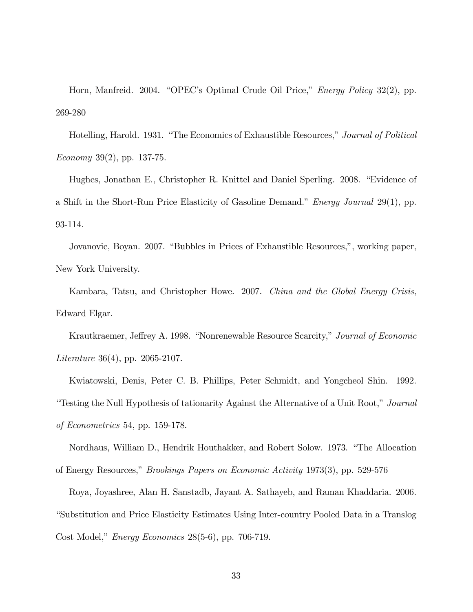Horn, Manfreid. 2004. "OPEC's Optimal Crude Oil Price," Energy Policy 32(2), pp. 269-280

Hotelling, Harold. 1931. "The Economics of Exhaustible Resources," Journal of Political Economy 39(2), pp. 137-75.

Hughes, Jonathan E., Christopher R. Knittel and Daniel Sperling. 2008. "Evidence of a Shift in the Short-Run Price Elasticity of Gasoline Demand." Energy Journal 29(1), pp. 93-114.

Jovanovic, Boyan. 2007. "Bubbles in Prices of Exhaustible Resources,", working paper, New York University.

Kambara, Tatsu, and Christopher Howe. 2007. China and the Global Energy Crisis, Edward Elgar.

Krautkraemer, Jeffrey A. 1998. "Nonrenewable Resource Scarcity," Journal of Economic Literature 36(4), pp. 2065-2107.

Kwiatowski, Denis, Peter C. B. Phillips, Peter Schmidt, and Yongcheol Shin. 1992. "Testing the Null Hypothesis of tationarity Against the Alternative of a Unit Root," Journal of Econometrics 54, pp. 159-178.

Nordhaus, William D., Hendrik Houthakker, and Robert Solow. 1973. "The Allocation of Energy Resources," Brookings Papers on Economic Activity 1973(3), pp. 529-576

Roya, Joyashree, Alan H. Sanstadb, Jayant A. Sathayeb, and Raman Khaddaria. 2006. "Substitution and Price Elasticity Estimates Using Inter-country Pooled Data in a Translog Cost Model," Energy Economics 28(5-6), pp. 706-719.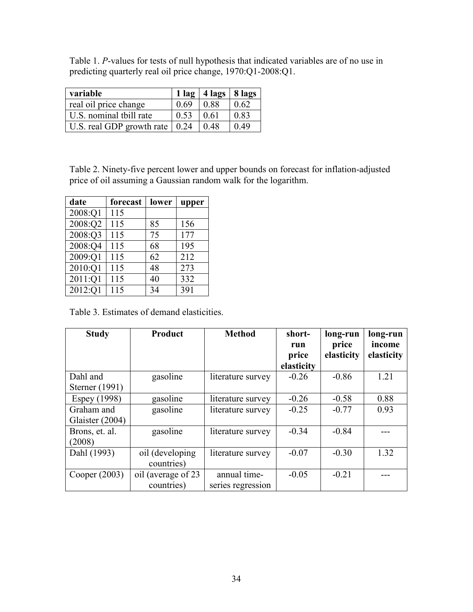| Table 1. P-values for tests of null hypothesis that indicated variables are of no use in |  |  |
|------------------------------------------------------------------------------------------|--|--|
| predicting quarterly real oil price change, 1970:Q1-2008:Q1.                             |  |  |

| variable                                       |      | $1 \log  4 \text{ lags}  8 \text{ lags}$ |      |
|------------------------------------------------|------|------------------------------------------|------|
| real oil price change                          | 0.69 | 0.88                                     | 0.62 |
| U.S. nominal tbill rate                        | 0.53 | 0.61                                     | 0.83 |
| $\vert$ U.S. real GDP growth rate $\vert$ 0.24 |      | 0.48                                     | 0.49 |

Table 2. Ninety-five percent lower and upper bounds on forecast for inflation-adjusted price of oil assuming a Gaussian random walk for the logarithm.

| date    | forecast | lower | upper |
|---------|----------|-------|-------|
| 2008:Q1 | 115      |       |       |
| 2008:Q2 | 115      | 85    | 156   |
| 2008:Q3 | 115      | 75    | 177   |
| 2008:Q4 | 115      | 68    | 195   |
| 2009:Q1 | 115      | 62    | 212   |
| 2010:Q1 | 115      | 48    | 273   |
| 2011:Q1 | 115      | 40    | 332   |
| 2012:Q1 | 115      | 34    | 391   |

Table 3. Estimates of demand elasticities.

| <b>Study</b>                  | <b>Product</b>                    | <b>Method</b>                     | short-<br>run<br>price<br>elasticity | long-run<br>price<br>elasticity | long-run<br>income<br>elasticity |
|-------------------------------|-----------------------------------|-----------------------------------|--------------------------------------|---------------------------------|----------------------------------|
| Dahl and                      | gasoline                          | literature survey                 | $-0.26$                              | $-0.86$                         | 1.21                             |
| Sterner (1991)                |                                   |                                   |                                      |                                 |                                  |
| Espey (1998)                  | gasoline                          | literature survey                 | $-0.26$                              | $-0.58$                         | 0.88                             |
| Graham and<br>Glaister (2004) | gasoline                          | literature survey                 | $-0.25$                              | $-0.77$                         | 0.93                             |
| Brons, et. al.<br>(2008)      | gasoline                          | literature survey                 | $-0.34$                              | $-0.84$                         |                                  |
| Dahl (1993)                   | oil (developing)<br>countries)    | literature survey                 | $-0.07$                              | $-0.30$                         | 1.32                             |
| Cooper $(2003)$               | oil (average of 23)<br>countries) | annual time-<br>series regression | $-0.05$                              | $-0.21$                         |                                  |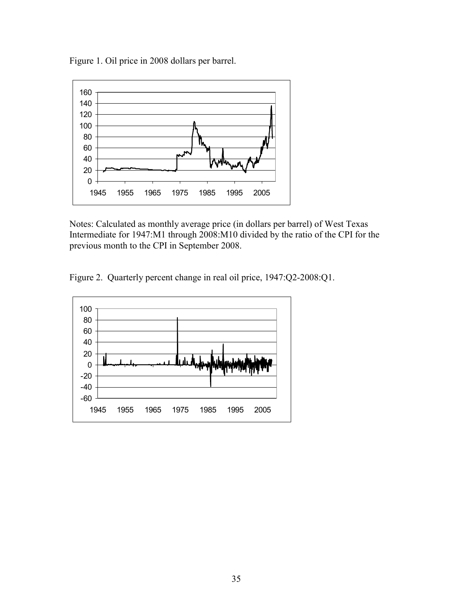Figure 1. Oil price in 2008 dollars per barrel.



Notes: Calculated as monthly average price (in dollars per barrel) of West Texas Intermediate for 1947:M1 through 2008:M10 divided by the ratio of the CPI for the previous month to the CPI in September 2008.

Figure 2. Quarterly percent change in real oil price, 1947:Q2-2008:Q1.

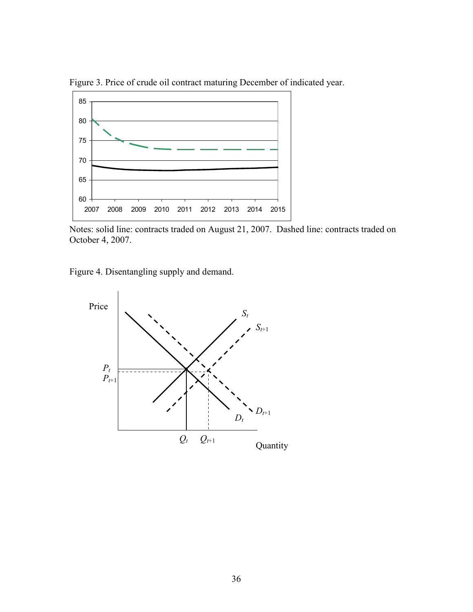

Figure 3. Price of crude oil contract maturing December of indicated year.

Notes: solid line: contracts traded on August 21, 2007. Dashed line: contracts traded on October 4, 2007.

Figure 4. Disentangling supply and demand.

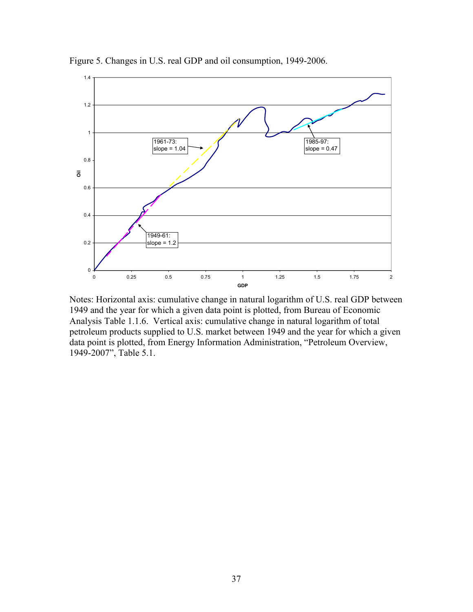

Figure 5. Changes in U.S. real GDP and oil consumption, 1949-2006.

Notes: Horizontal axis: cumulative change in natural logarithm of U.S. real GDP between 1949 and the year for which a given data point is plotted, from Bureau of Economic Analysis Table 1.1.6. Vertical axis: cumulative change in natural logarithm of total petroleum products supplied to U.S. market between 1949 and the year for which a given data point is plotted, from Energy Information Administration, "Petroleum Overview, 1949-2007", Table 5.1.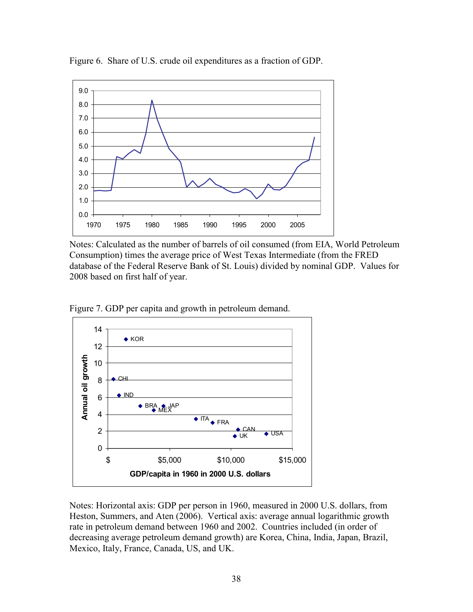

Figure 6. Share of U.S. crude oil expenditures as a fraction of GDP.

Notes: Calculated as the number of barrels of oil consumed (from EIA, World Petroleum Consumption) times the average price of West Texas Intermediate (from the FRED database of the Federal Reserve Bank of St. Louis) divided by nominal GDP. Values for 2008 based on first half of year.





Notes: Horizontal axis: GDP per person in 1960, measured in 2000 U.S. dollars, from Heston, Summers, and Aten (2006). Vertical axis: average annual logarithmic growth rate in petroleum demand between 1960 and 2002. Countries included (in order of decreasing average petroleum demand growth) are Korea, China, India, Japan, Brazil, Mexico, Italy, France, Canada, US, and UK.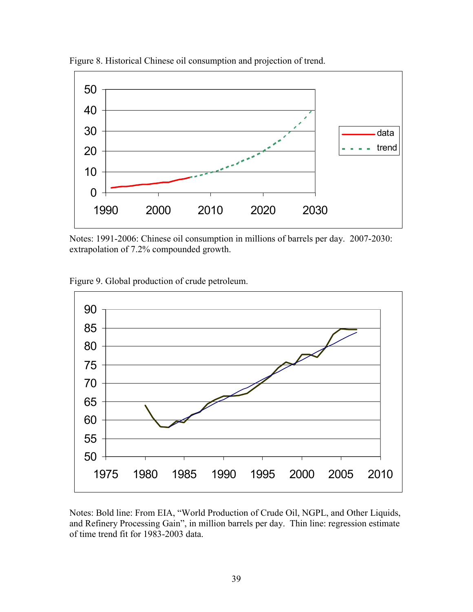

Figure 8. Historical Chinese oil consumption and projection of trend.

Notes: 1991-2006: Chinese oil consumption in millions of barrels per day. 2007-2030: extrapolation of 7.2% compounded growth.

Figure 9. Global production of crude petroleum.



Notes: Bold line: From EIA, "World Production of Crude Oil, NGPL, and Other Liquids, and Refinery Processing Gain", in million barrels per day. Thin line: regression estimate of time trend fit for 1983-2003 data.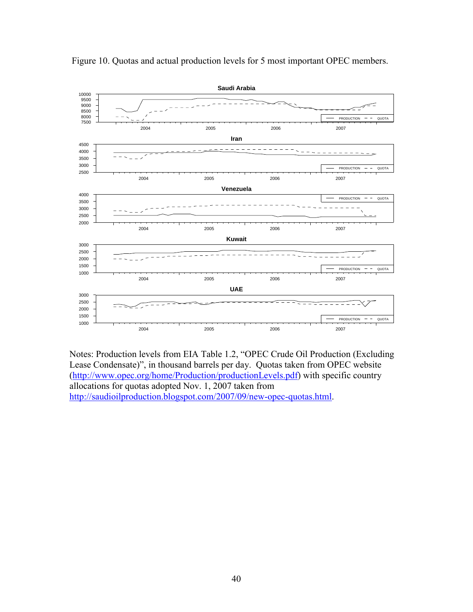

Figure 10. Quotas and actual production levels for 5 most important OPEC members.

Notes: Production levels from EIA Table 1.2, "OPEC Crude Oil Production (Excluding Lease Condensate)", in thousand barrels per day. Quotas taken from OPEC website (http://www.opec.org/home/Production/productionLevels.pdf) with specific country allocations for quotas adopted Nov. 1, 2007 taken from http://saudioilproduction.blogspot.com/2007/09/new-opec-quotas.html.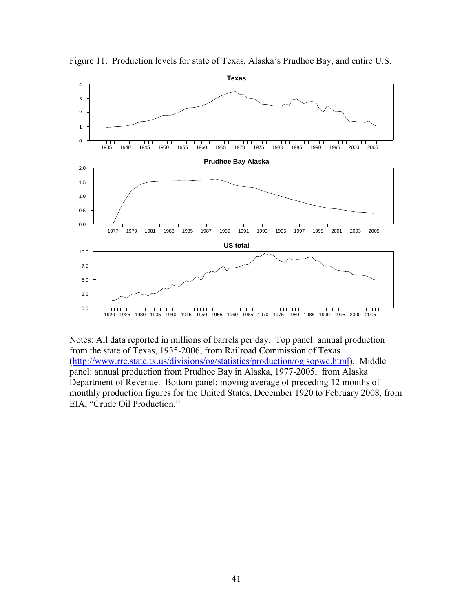

Figure 11. Production levels for state of Texas, Alaska's Prudhoe Bay, and entire U.S.

Notes: All data reported in millions of barrels per day. Top panel: annual production from the state of Texas, 1935-2006, from Railroad Commission of Texas (http://www.rrc.state.tx.us/divisions/og/statistics/production/ogisopwc.html). Middle panel: annual production from Prudhoe Bay in Alaska, 1977-2005, from Alaska Department of Revenue. Bottom panel: moving average of preceding 12 months of monthly production figures for the United States, December 1920 to February 2008, from EIA, "Crude Oil Production."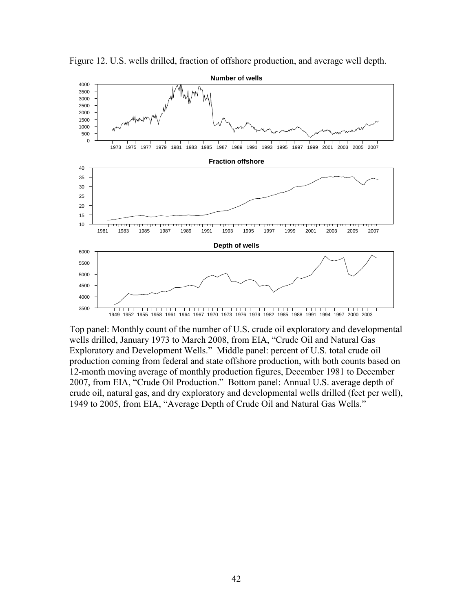

Figure 12. U.S. wells drilled, fraction of offshore production, and average well depth.

Top panel: Monthly count of the number of U.S. crude oil exploratory and developmental wells drilled, January 1973 to March 2008, from EIA, "Crude Oil and Natural Gas Exploratory and Development Wells." Middle panel: percent of U.S. total crude oil production coming from federal and state offshore production, with both counts based on 12-month moving average of monthly production figures, December 1981 to December 2007, from EIA, "Crude Oil Production." Bottom panel: Annual U.S. average depth of crude oil, natural gas, and dry exploratory and developmental wells drilled (feet per well), 1949 to 2005, from EIA, "Average Depth of Crude Oil and Natural Gas Wells."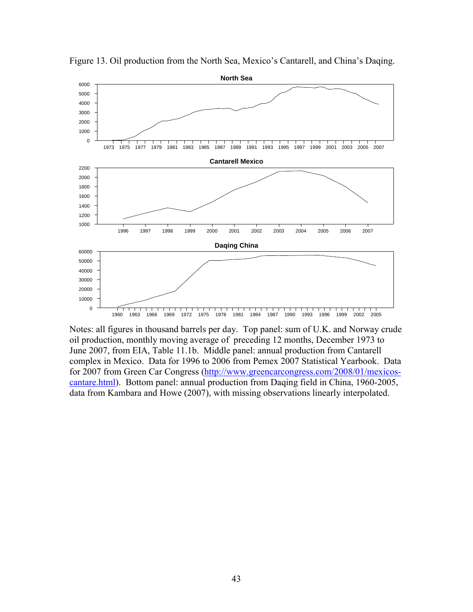

Figure 13. Oil production from the North Sea, Mexico's Cantarell, and China's Daqing.

Notes: all figures in thousand barrels per day. Top panel: sum of U.K. and Norway crude oil production, monthly moving average of preceding 12 months, December 1973 to June 2007, from EIA, Table 11.1b. Middle panel: annual production from Cantarell complex in Mexico. Data for 1996 to 2006 from Pemex 2007 Statistical Yearbook. Data for 2007 from Green Car Congress (http://www.greencarcongress.com/2008/01/mexicoscantare.html). Bottom panel: annual production from Daqing field in China, 1960-2005, data from Kambara and Howe (2007), with missing observations linearly interpolated.